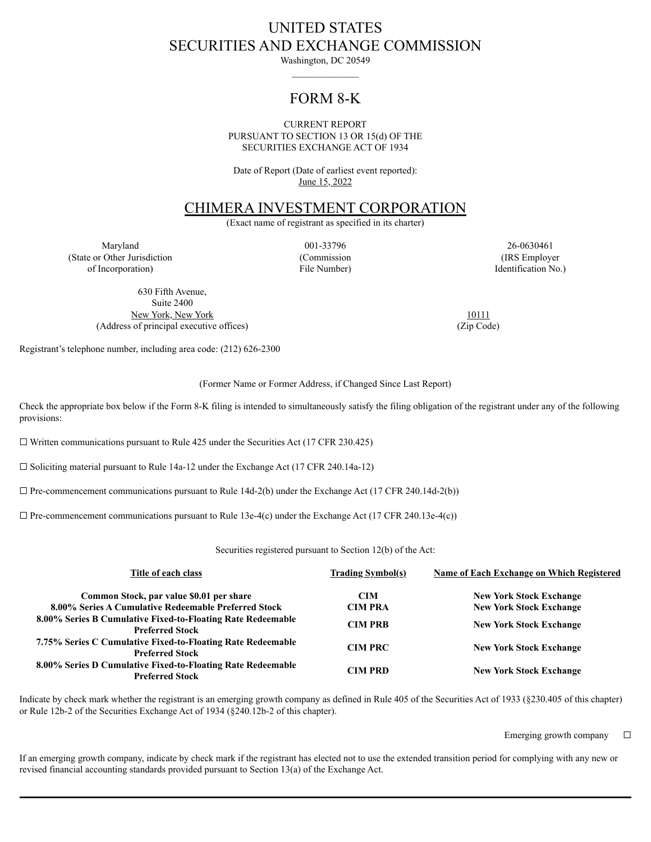# UNITED STATES SECURITIES AND EXCHANGE COMMISSION

Washington, DC 20549

## FORM 8-K

#### CURRENT REPORT PURSUANT TO SECTION 13 OR 15(d) OF THE SECURITIES EXCHANGE ACT OF 1934

Date of Report (Date of earliest event reported): June 15, 2022

### CHIMERA INVESTMENT CORPORATION

(Exact name of registrant as specified in its charter)

Maryland 001-33796 26-0630461 (State or Other Jurisdiction of Incorporation)

(Commission File Number)

(IRS Employer Identification No.)

630 Fifth Avenue, Suite 2400 New York, New York 10111 (Address of principal executive offices) (Zip Code)

Registrant's telephone number, including area code: (212) 626-2300

(Former Name or Former Address, if Changed Since Last Report)

Check the appropriate box below if the Form 8-K filing is intended to simultaneously satisfy the filing obligation of the registrant under any of the following provisions:

 $\Box$  Written communications pursuant to Rule 425 under the Securities Act (17 CFR 230.425)

☐ Soliciting material pursuant to Rule 14a-12 under the Exchange Act (17 CFR 240.14a-12)

 $\Box$  Pre-commencement communications pursuant to Rule 14d-2(b) under the Exchange Act (17 CFR 240.14d-2(b))

 $\Box$  Pre-commencement communications pursuant to Rule 13e-4(c) under the Exchange Act (17 CFR 240.13e-4(c))

Securities registered pursuant to Section 12(b) of the Act:

| Title of each class                                                                   | <b>Trading Symbol(s)</b> | <b>Name of Each Exchange on Which Registered</b> |
|---------------------------------------------------------------------------------------|--------------------------|--------------------------------------------------|
| Common Stock, par value \$0.01 per share                                              | <b>CIM</b>               | <b>New York Stock Exchange</b>                   |
| 8.00% Series A Cumulative Redeemable Preferred Stock                                  | <b>CIM PRA</b>           | <b>New York Stock Exchange</b>                   |
| 8.00% Series B Cumulative Fixed-to-Floating Rate Redeemable<br><b>Preferred Stock</b> | <b>CIM PRB</b>           | <b>New York Stock Exchange</b>                   |
| 7.75% Series C Cumulative Fixed-to-Floating Rate Redeemable<br><b>Preferred Stock</b> | <b>CIM PRC</b>           | <b>New York Stock Exchange</b>                   |
| 8.00% Series D Cumulative Fixed-to-Floating Rate Redeemable<br><b>Preferred Stock</b> | <b>CIM PRD</b>           | <b>New York Stock Exchange</b>                   |

Indicate by check mark whether the registrant is an emerging growth company as defined in Rule 405 of the Securities Act of 1933 (§230.405 of this chapter) or Rule 12b-2 of the Securities Exchange Act of 1934 (§240.12b-2 of this chapter).

Emerging growth company  $\Box$ 

If an emerging growth company, indicate by check mark if the registrant has elected not to use the extended transition period for complying with any new or revised financial accounting standards provided pursuant to Section 13(a) of the Exchange Act.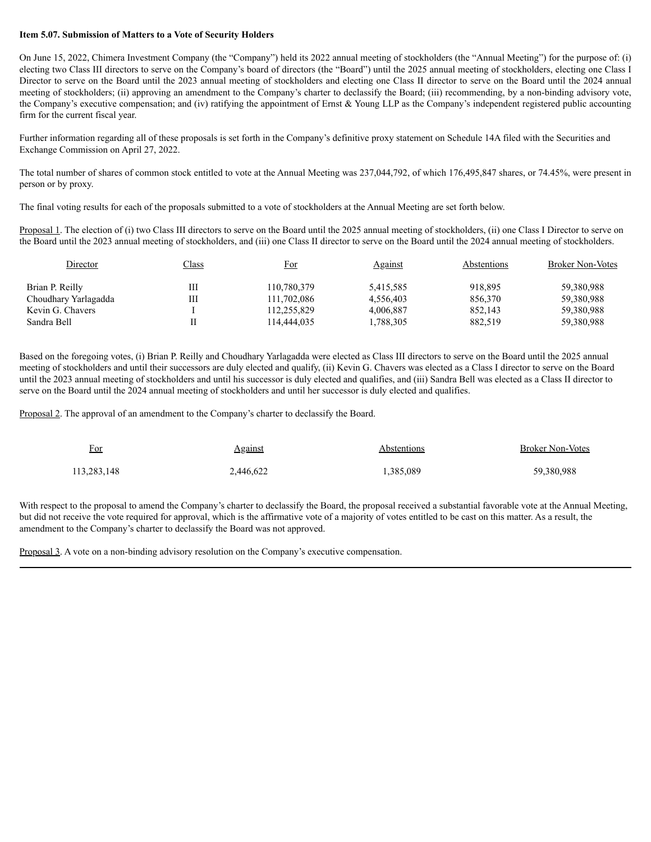#### **Item 5.07. Submission of Matters to a Vote of Security Holders**

On June 15, 2022, Chimera Investment Company (the "Company") held its 2022 annual meeting of stockholders (the "Annual Meeting") for the purpose of: (i) electing two Class III directors to serve on the Company's board of directors (the "Board") until the 2025 annual meeting of stockholders, electing one Class I Director to serve on the Board until the 2023 annual meeting of stockholders and electing one Class II director to serve on the Board until the 2024 annual meeting of stockholders; (ii) approving an amendment to the Company's charter to declassify the Board; (iii) recommending, by a non-binding advisory vote, the Company's executive compensation; and (iv) ratifying the appointment of Ernst & Young LLP as the Company's independent registered public accounting firm for the current fiscal year.

Further information regarding all of these proposals is set forth in the Company's definitive proxy statement on Schedule 14A filed with the Securities and Exchange Commission on April 27, 2022.

The total number of shares of common stock entitled to vote at the Annual Meeting was 237,044,792, of which 176,495,847 shares, or 74.45%, were present in person or by proxy.

The final voting results for each of the proposals submitted to a vote of stockholders at the Annual Meeting are set forth below.

Proposal 1. The election of (i) two Class III directors to serve on the Board until the 2025 annual meeting of stockholders, (ii) one Class I Director to serve on the Board until the 2023 annual meeting of stockholders, and (iii) one Class II director to serve on the Board until the 2024 annual meeting of stockholders.

| Director             | <u>Class</u> | <u>For</u>  | <u>Against</u> | Abstentions | <b>Broker Non-Votes</b> |
|----------------------|--------------|-------------|----------------|-------------|-------------------------|
| Brian P. Reilly      |              | 110,780,379 | 5,415,585      | 918.895     | 59,380,988              |
| Choudhary Yarlagadda | Ш            | 111,702,086 | 4.556.403      | 856.370     | 59,380,988              |
| Kevin G. Chavers     |              | 112,255,829 | 4.006.887      | 852.143     | 59,380,988              |
| Sandra Bell          |              | 114.444.035 | .788,305       | 882,519     | 59,380,988              |

Based on the foregoing votes, (i) Brian P. Reilly and Choudhary Yarlagadda were elected as Class III directors to serve on the Board until the 2025 annual meeting of stockholders and until their successors are duly elected and qualify, (ii) Kevin G. Chavers was elected as a Class I director to serve on the Board until the 2023 annual meeting of stockholders and until his successor is duly elected and qualifies, and (iii) Sandra Bell was elected as a Class II director to serve on the Board until the 2024 annual meeting of stockholders and until her successor is duly elected and qualifies.

Proposal 2. The approval of an amendment to the Company's charter to declassify the Board.

| For         | <b>Against</b> | Abstentions | <b>Broker Non-Votes</b> |
|-------------|----------------|-------------|-------------------------|
| 113,283,148 | 2,446,622      | 1,385,089   | 59,380,988              |

With respect to the proposal to amend the Company's charter to declassify the Board, the proposal received a substantial favorable vote at the Annual Meeting, but did not receive the vote required for approval, which is the affirmative vote of a majority of votes entitled to be cast on this matter. As a result, the amendment to the Company's charter to declassify the Board was not approved.

Proposal 3. A vote on a non-binding advisory resolution on the Company's executive compensation.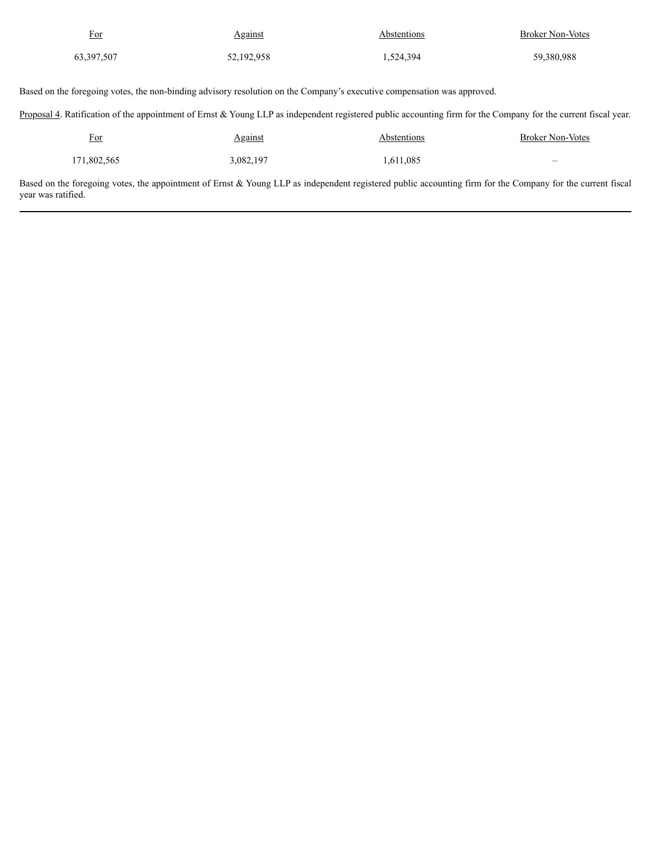| For          | <b>Against</b> | Abstentions | <b>Broker Non-Votes</b> |
|--------------|----------------|-------------|-------------------------|
| 63, 397, 507 | 52,192,958     | 1,524,394   | 59,380,988              |

Based on the foregoing votes, the non-binding advisory resolution on the Company's executive compensation was approved.

Proposal 4. Ratification of the appointment of Ernst & Young LLP as independent registered public accounting firm for the Company for the current fiscal year.

| For         | <b>Against</b> | Abstentions | <b>Broker Non-Votes</b>  |
|-------------|----------------|-------------|--------------------------|
| 171,802,565 | 3,082,197      | 1,611,085   | $\overline{\phantom{m}}$ |

Based on the foregoing votes, the appointment of Ernst & Young LLP as independent registered public accounting firm for the Company for the current fiscal year was ratified.